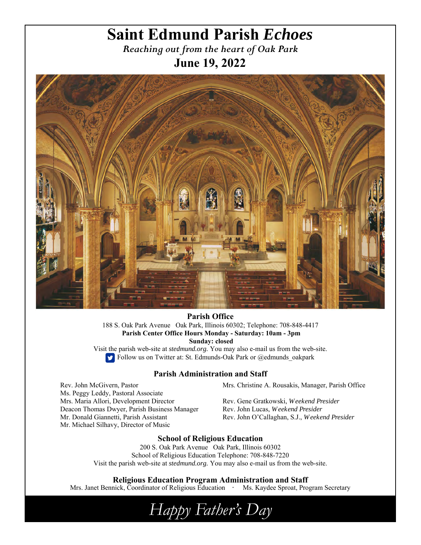# **Saint Edmund Parish** *Echoes*

*Reaching out from the heart of Oak Park*  **June 19, 2022** 



**Parish Office** 188 S. Oak Park Avenue Oak Park, Illinois 60302; Telephone: 708-848-4417  **Parish Center Office Hours Monday - Saturday: 10am - 3pm Sunday: closed** 

Visit the parish web-site at *stedmund.org.* You may also e-mail us from the web-site. Follow us on Twitter at: St. Edmunds-Oak Park or @edmunds\_oakpark

### **Parish Administration and Staff**

Rev. John McGivern, Pastor Ms. Peggy Leddy, Pastoral Associate Mrs. Maria Allori, Development Director Deacon Thomas Dwyer, Parish Business Manager Mr. Donald Giannetti, Parish Assistant Mr. Michael Silhavy, Director of Music

Mrs. Christine A. Rousakis, Manager, Parish Office

Rev. Gene Gratkowski, *Weekend Presider*  Rev. John Lucas, *Weekend Presider*  Rev. John O'Callaghan, S.J., *Weekend Presider* 

### **School of Religious Education**

200 S. Oak Park Avenue Oak Park, Illinois 60302 School of Religious Education Telephone: 708-848-7220 Visit the parish web-site at *stedmund.org.* You may also e-mail us from the web-site.

**Religious Education Program Administration and Staff** 

Mrs. Janet Bennick, Coordinator of Religious Education **·** Ms. Kaydee Sproat, Program Secretary

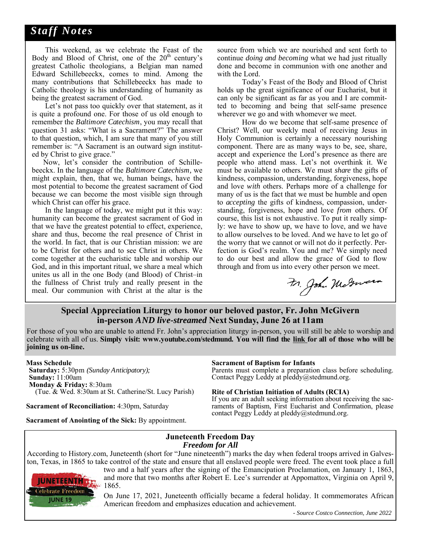# *Staff Notes*

 This weekend, as we celebrate the Feast of the Body and Blood of Christ, one of the  $20<sup>th</sup>$  century's greatest Catholic theologians, a Belgian man named Edward Schillebeeckx, comes to mind. Among the many contributions that Schillebeeckx has made to Catholic theology is his understanding of humanity as being the greatest sacrament of God.

 Let's not pass too quickly over that statement, as it is quite a profound one. For those of us old enough to remember the *Baltimore Catechism*, you may recall that question 31 asks: "What is a Sacrament?" The answer to that question, which, I am sure that many of you still remember is: "A Sacrament is an outward sign instituted by Christ to give grace."

 Now, let's consider the contribution of Schillebeeckx. In the language of the *Baltimore Catechism,* we might explain, then, that we, human beings, have the most potential to become the greatest sacrament of God because we can become the most visible sign through which Christ can offer his grace.

 In the language of today, we might put it this way: humanity can become the greatest sacrament of God in that we have the greatest potential to effect, experience, share and thus, become the real presence of Christ in the world. In fact, that is our Christian mission: we are to be Christ for others and to see Christ in others. We come together at the eucharistic table and worship our God, and in this important ritual, we share a meal which unites us all in the one Body (and Blood) of Christ–in the fullness of Christ truly and really present in the meal. Our communion with Christ at the altar is the

source from which we are nourished and sent forth to continue *doing and becoming* what we had just ritually done and become in communion with one another and with the Lord.

 Today's Feast of the Body and Blood of Christ holds up the great significance of our Eucharist, but it can only be significant as far as you and I are committed to becoming and being that self-same presence wherever we go and with whomever we meet.

 How do we become that self-same presence of Christ? Well, our weekly meal of receiving Jesus in Holy Communion is certainly a necessary nourishing component. There are as many ways to be, see, share, accept and experience the Lord's presence as there are people who attend mass. Let's not overthink it. We must be available to others. We must *share* the gifts of kindness, compassion, understanding, forgiveness, hope and love *with* others. Perhaps more of a challenge for many of us is the fact that we must be humble and open to *accepting* the gifts of kindness, compassion, understanding, forgiveness, hope and love *from* others. Of course, this list is not exhaustive. To put it really simply: we have to show up, we have to love, and we have to allow ourselves to be loved. And we have to let go of the worry that we cannot or will not do it perfectly. Perfection is God's realm. You and me? We simply need to do our best and allow the grace of God to flow through and from us into every other person we meet.

Fr. John Maturer

### **Special Appreciation Liturgy to honor our beloved pastor, Fr. John McGivern in-person** *AND live-streamed* **Next Sunday, June 26 at 11am**

For those of you who are unable to attend Fr. John's appreciation liturgy in-person, you will still be able to worship and celebrate with all of us. **Simply visit: www.youtube.com/stedmund. You will find the link for all of those who will be joining us on-line.** 

#### **Mass Schedule**

 **Saturday:** 5:30pm *(Sunday Anticipatory);* **Sunday:** 11:00am  **Monday & Friday:** 8:30am (Tue. & Wed. 8:30am at St. Catherine/St. Lucy Parish)

**Sacrament of Reconciliation:** 4:30pm, Saturday

# **Sacrament of Baptism for Infants**

Parents must complete a preparation class before scheduling. Contact Peggy Leddy at pleddy@stedmund.org.

**Rite of Christian Initiation of Adults (RCIA)**<br>If you are an adult seeking information about receiving the sacraments of Baptism, First Eucharist and Confirmation, please contact Peggy Leddy at pleddy $@$ stedmund.org.

**Sacrament of Anointing of the Sick:** By appointment.

### **Juneteenth Freedom Day**  *Freedom for All*

According to History.com, Juneteenth (short for "June nineteenth") marks the day when federal troops arrived in Galveston, Texas, in 1865 to take control of the state and ensure that all enslaved people were freed. The event took place a full



two and a half years after the signing of the Emancipation Proclamation, on January 1, 1863, and more that two months after Robert E. Lee's surrender at Appomattox, Virginia on April 9, 1865.

On June 17, 2021, Juneteenth officially became a federal holiday. It commemorates African American freedom and emphasizes education and achievement.

*- Source Costco Connection, June 2022*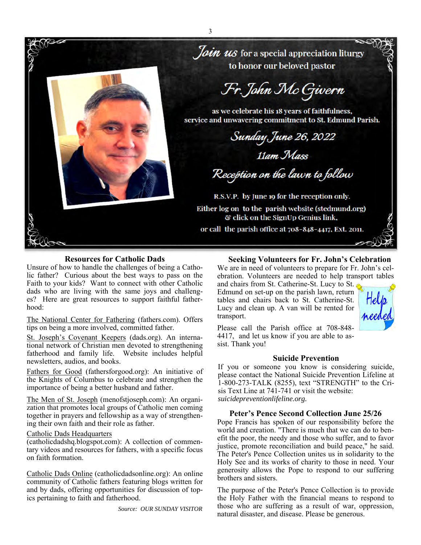

### **Resources for Catholic Dads**

Unsure of how to handle the challenges of being a Catholic father? Curious about the best ways to pass on the Faith to your kids? Want to connect with other Catholic dads who are living with the same joys and challenges? Here are great resources to support faithful fatherhood:

The National Center for Fathering (fathers.com). Offers tips on being a more involved, committed father.

St. Joseph's Covenant Keepers (dads.org). An international network of Christian men devoted to strengthening fatherhood and family life. Website includes helpful newsletters, audios, and books.

Fathers for Good (fathersforgood.org): An initiative of the Knights of Columbus to celebrate and strengthen the importance of being a better husband and father.

The Men of St. Joseph (menofstjoseph.com): An organization that promotes local groups of Catholic men coming together in prayers and fellowship as a way of strengthening their own faith and their role as father.

#### Catholic Dads Headquarters

(catholicdadshq.blogspot.com): A collection of commentary videos and resources for fathers, with a specific focus on faith formation.

Catholic Dads Online (catholicdadsonline.org): An online community of Catholic fathers featuring blogs written for and by dads, offering opportunities for discussion of topics pertaining to faith and fatherhood.

 *Source: OUR SUNDAY VISITOR* 

#### **Seeking Volunteers for Fr. John's Celebration**

We are in need of volunteers to prepare for Fr. John's celebration. Volunteers are needed to help transport tables

and chairs from St. Catherine-St. Lucy to St. Edmund on set-up on the parish lawn, return tables and chairs back to St. Catherine-St. Lucy and clean up. A van will be rented for transport.



Please call the Parish office at 708-848- 4417, and let us know if you are able to assist. Thank you!

#### **Suicide Prevention**

If you or someone you know is considering suicide, please contact the National Suicide Prevention Lifeline at 1-800-273-TALK (8255), text "STRENGTH" to the Crisis Text Line at 741-741 or visit the website: *suicidepreventionlifeline.org.* 

#### **Peter's Pence Second Collection June 25/26**

Pope Francis has spoken of our responsibility before the world and creation. "There is much that we can do to benefit the poor, the needy and those who suffer, and to favor justice, promote reconciliation and build peace," he said. The Peter's Pence Collection unites us in solidarity to the Holy See and its works of charity to those in need. Your generosity allows the Pope to respond to our suffering brothers and sisters.

The purpose of the Peter's Pence Collection is to provide the Holy Father with the financial means to respond to those who are suffering as a result of war, oppression, natural disaster, and disease. Please be generous.

3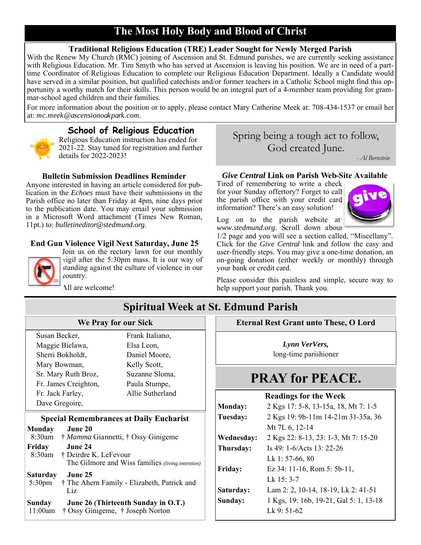# 4 **The Most Holy Body and Blood of Christ**

## **Traditional Religious Education (TRE) Leader Sought for Newly Merged Parish**

With the Renew My Church (RMC) joining of Ascension and St. Edmund parishes, we are currently seeking assistance with Religious Education. Mr. Tim Smyth who has served at Ascension is leaving his position. We are in need of a parttime Coordinator of Religious Education to complete our Religious Education Department. Ideally a Candidate would have served in a similar position, but qualified catechists and/or former teachers in a Catholic School might find this opportunity a worthy match for their skills. This person would be an integral part of a 4-member team providing for grammar-school aged children and their families.

For more information about the position or to apply, please contact Mary Catherine Meek at: 708-434-1537 or email her at: *mc.meek@ascensionoakpark.com.* 



# **School of Religious Education**

Religious Education instruction has ended for 2021-22. Stay tuned for registration and further details for 2022-2023!

### **Bulletin Submission Deadlines Reminder**

Anyone interested in having an article considered for publication in the *Echoes* must have their submissions in the Parish office no later than Friday at 4pm, nine days prior to the publication date. You may email your submission in a Microsoft Word attachment (Times New Roman, 11pt.) to: *bulletineditor@stedmund.org.* 

### **End Gun Violence Vigil Next Saturday, June 25**



Join us on the rectory lawn for our monthly vigil after the 5:30pm mass. It is our way of standing against the culture of violence in our country.

All are welcome!

# Spring being a tough act to follow, God created June.

*- Al Bernstein* 

### *Give Central* **Link on Parish Web-Site Available**

Tired of remembering to write a check for your Sunday offertory? Forget to call the parish office with your credit card information? There's an easy solution!



Log on to the parish website at: *www.stedmund.org.* Scroll down about

1/2 page and you will see a section called, "Miscellany". Click for the *Give Central* link and follow the easy and user-friendly steps. You may give a one-time donation, an on-going donation (either weekly or monthly) through your bank or credit card.

Please consider this painless and simple, secure way to help support your parish. Thank you.

# **Spiritual Week at St. Edmund Parish**

### **We Pray for our Sick**

Susan Becker, Maggie Bielawa, Sherri Bokholdt, Mary Bowman, Sr. Mary Ruth Broz, Fr. James Creighton, Fr. Jack Farley, Dave Gregoire,

Elsa Leon, Daniel Moore, Kelly Scott, Suzanne Sloma, Paula Stumpe, Allie Sutherland

Frank Italiano,

### **Special Remembrances at Daily Eucharist**

| <b>Monday</b>                | June 20                                                                              |
|------------------------------|--------------------------------------------------------------------------------------|
| 8:30am                       | † Mamma Giannetti, † Ossy Ginigeme                                                   |
| Friday<br>8:30am             | June 24<br>† Deirdre K. LeFevour<br>The Gilmore and Wiss families (living intention) |
| <b>Saturday</b><br>$5:30$ pm | June 25<br>† The Ahern Family - Elizabeth, Patrick and<br>Liz                        |
| <b>Sunday</b><br>11:00am     | June 26 (Thirteenth Sunday in O.T.)<br>† Ossy Ginigeme, † Joseph Norton              |

**Eternal Rest Grant unto These, O Lord** 

*Lynn VerVers,*  long-time parishioner

# **PRAY for PEACE.**

### **Readings for the Week**

| <b>Monday:</b> | 2 Kgs 17: 5-8, 13-15a, 18, Mt 7: 1-5   |
|----------------|----------------------------------------|
| Tuesday:       | 2 Kgs 19: 9b-11m 14-21m 31-35a, 36     |
|                | Mt 7L 6, 12-14                         |
| Wednesday:     | 2 Kgs 22: 8-13, 23: 1-3, Mt 7: 15-20   |
| Thursday:      | Is 49: 1-6/Acts 13: 22-26              |
|                | Lk 1: $57-66$ , 80                     |
| Friday:        | Ez 34: 11-16, Rom 5: 5b-11,            |
|                | Lk 15:3-7                              |
| Saturday:      | Lam 2: 2, 10-14, 18-19, Lk 2: 41-51    |
| Sunday:        | 1 Kgs, 19: 16b, 19-21, Gal 5: 1, 13-18 |
|                | Lk 9: 51-62                            |